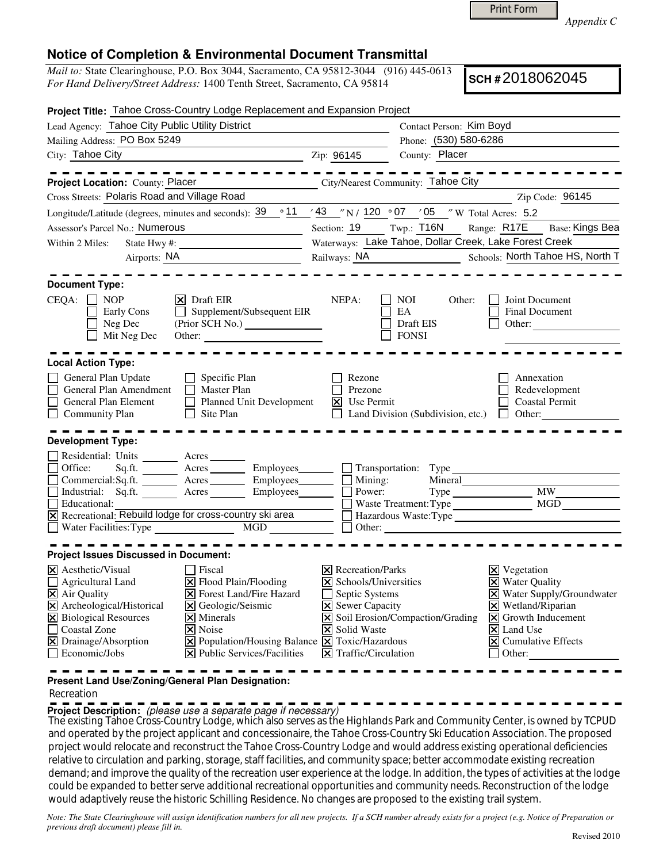Print Form

*Appendix C* 

## **Notice of Completion & Environmental Document Transmittal**

*Mail to:* State Clearinghouse, P.O. Box 3044, Sacramento, CA 95812-3044 (916) 445-0613 *For Hand Delivery/Street Address:* 1400 Tenth Street, Sacramento, CA 95814

**SCH #** 2018062045

| Project Title: Tahoe Cross-Country Lodge Replacement and Expansion Project                                                                                                                                                                                                                                                                                                                                                                                                                          |                                                                                                                                                                                                    |                                                        |                                                                                                                                                                                                                                                                             |
|-----------------------------------------------------------------------------------------------------------------------------------------------------------------------------------------------------------------------------------------------------------------------------------------------------------------------------------------------------------------------------------------------------------------------------------------------------------------------------------------------------|----------------------------------------------------------------------------------------------------------------------------------------------------------------------------------------------------|--------------------------------------------------------|-----------------------------------------------------------------------------------------------------------------------------------------------------------------------------------------------------------------------------------------------------------------------------|
| Lead Agency: Tahoe City Public Utility District                                                                                                                                                                                                                                                                                                                                                                                                                                                     | Contact Person: Kim Boyd                                                                                                                                                                           |                                                        |                                                                                                                                                                                                                                                                             |
| Mailing Address: PO Box 5249                                                                                                                                                                                                                                                                                                                                                                                                                                                                        |                                                                                                                                                                                                    | Phone: (530) 580-6286                                  |                                                                                                                                                                                                                                                                             |
| City: Tahoe City Zip: 96145                                                                                                                                                                                                                                                                                                                                                                                                                                                                         |                                                                                                                                                                                                    |                                                        | County: Placer                                                                                                                                                                                                                                                              |
| ----------<br>Project Location: County: Placer Community: Tahoe City                                                                                                                                                                                                                                                                                                                                                                                                                                |                                                                                                                                                                                                    | $\frac{1}{2}$                                          | $- - - - - - - - - -$                                                                                                                                                                                                                                                       |
| Cross Streets: Polaris Road and Village Road                                                                                                                                                                                                                                                                                                                                                                                                                                                        |                                                                                                                                                                                                    |                                                        | Zip Code: 96145                                                                                                                                                                                                                                                             |
| Longitude/Latitude (degrees, minutes and seconds): $39 \cdot 11$ / $43$ / N / $120 \cdot 07$ / 05 / W Total Acres: 5.2                                                                                                                                                                                                                                                                                                                                                                              |                                                                                                                                                                                                    |                                                        |                                                                                                                                                                                                                                                                             |
| Assessor's Parcel No.: Numerous<br><u> 1990 - John Barn Barn, amerikansk politiker</u>                                                                                                                                                                                                                                                                                                                                                                                                              | Section: 19                                                                                                                                                                                        | $Twp.:$ T16N                                           | Range: R17E<br>Base: Kings Bea                                                                                                                                                                                                                                              |
| State Hwy #: $\frac{1}{\sqrt{1-\frac{1}{2}} \cdot \frac{1}{2}}$<br>Within 2 Miles:                                                                                                                                                                                                                                                                                                                                                                                                                  |                                                                                                                                                                                                    |                                                        | Waterways: Lake Tahoe, Dollar Creek, Lake Forest Creek                                                                                                                                                                                                                      |
| Airports: NA                                                                                                                                                                                                                                                                                                                                                                                                                                                                                        | Railways: NA                                                                                                                                                                                       |                                                        | Schools: North Tahoe HS, North T                                                                                                                                                                                                                                            |
| <b>Document Type:</b>                                                                                                                                                                                                                                                                                                                                                                                                                                                                               |                                                                                                                                                                                                    |                                                        |                                                                                                                                                                                                                                                                             |
| $CEQA: \Box NP$<br>$ \mathsf{X} $ Draft EIR<br>$\Box$ Supplement/Subsequent EIR<br>Early Cons<br>Neg Dec<br>Mit Neg Dec<br>Other:                                                                                                                                                                                                                                                                                                                                                                   | NEPA:<br>$\Box$                                                                                                                                                                                    | NOI<br>Other:<br>EA<br>Draft EIS<br>$\Box$ FONSI       | <b>Joint Document</b><br>Final Document<br>Other:                                                                                                                                                                                                                           |
| <b>Local Action Type:</b>                                                                                                                                                                                                                                                                                                                                                                                                                                                                           |                                                                                                                                                                                                    |                                                        |                                                                                                                                                                                                                                                                             |
| $\Box$ Specific Plan<br>General Plan Update<br>$\Box$ Master Plan<br>General Plan Amendment<br>$\Box$<br>Planned Unit Development<br>General Plan Element<br>$\Box$ Site Plan<br>Community Plan                                                                                                                                                                                                                                                                                                     | Rezone<br>Prezone<br>$\Xi$ Use Permit                                                                                                                                                              | $\Box$ Land Division (Subdivision, etc.) $\Box$ Other: | Annexation<br>Redevelopment<br>Coastal Permit                                                                                                                                                                                                                               |
| <b>Development Type:</b>                                                                                                                                                                                                                                                                                                                                                                                                                                                                            |                                                                                                                                                                                                    |                                                        |                                                                                                                                                                                                                                                                             |
| Residential: Units _______ Acres _______<br>Sq.ft. __________ Acres ___________ Employees_________ ____ Transportation: Type<br>Office:<br>$Commercial:Sq.fit.$ $\overline{\qquad}$ Acres $\qquad \qquad$ Employees $\qquad \qquad$ Mining:<br>$\Box$<br>Industrial: Sq.ft. Acres Employees Power:<br>Educational:<br>$\overline{X}$ Recreational: Rebuild lodge for cross-country ski area $\overline{X}$ Hazardous Waste: Type $\overline{X}$<br>Water Facilities: Type MGD                       | $\Box$ Other:                                                                                                                                                                                      |                                                        | Waste Treatment: Type MGD<br><u> 1989 - Johann Barnett, fransk politik (d. 1989)</u>                                                                                                                                                                                        |
| <b>Project Issues Discussed in Document:</b>                                                                                                                                                                                                                                                                                                                                                                                                                                                        |                                                                                                                                                                                                    |                                                        |                                                                                                                                                                                                                                                                             |
| $\times$ Aesthetic/Visual<br>Fiscal<br>Agricultural Land<br>$\Xi$ Flood Plain/Flooding<br>$\boxtimes$ Air Quality<br>X Forest Land/Fire Hazard<br>X Archeological/Historical<br>$\Xi$ Geologic/Seismic<br>X Biological Resources<br>$\times$ Minerals<br>$\Box$<br>Coastal Zone<br>$\triangleright$ Noise<br>X Drainage/Absorption<br>$\boxed{\mathbf{X}}$ Population/Housing Balance $\boxed{\mathbf{X}}$ Toxic/Hazardous<br>Economic/Jobs<br>$ \mathbf{\overline{X}} $ Public Services/Facilities | $ \mathsf{X} $ Recreation/Parks<br>$\boxtimes$ Schools/Universities<br>Septic Systems<br>$\mathsf{L}$<br><b>X</b> Sewer Capacity<br>X Solid Waste<br>$ \mathbf{\overline{X}} $ Traffic/Circulation | $\boxed{\mathsf{X}}$ Soil Erosion/Compaction/Grading   | $\boxtimes$ Vegetation<br><b>X</b> Water Quality<br>$\boxed{\mathsf{X}}$ Water Supply/Groundwater<br>$\times$ Wetland/Riparian<br>$\overline{\mathsf{X}}$ Growth Inducement<br>$\overline{\mathsf{x}}$ Land Use<br>$\boxed{\mathsf{X}}$ Cumulative Effects<br>$\Box$ Other: |

**Present Land Use/Zoning/General Plan Designation:**

## Recreation

**Project Description:** (please use a separate page if necessary)

 The existing Tahoe Cross-Country Lodge, which also serves as the Highlands Park and Community Center, is owned by TCPUD and operated by the project applicant and concessionaire, the Tahoe Cross-Country Ski Education Association. The proposed project would relocate and reconstruct the Tahoe Cross-Country Lodge and would address existing operational deficiencies relative to circulation and parking, storage, staff facilities, and community space; better accommodate existing recreation demand; and improve the quality of the recreation user experience at the lodge. In addition, the types of activities at the lodge could be expanded to better serve additional recreational opportunities and community needs. Reconstruction of the lodge would adaptively reuse the historic Schilling Residence. No changes are proposed to the existing trail system.

*Note: The State Clearinghouse will assign identification numbers for all new projects. If a SCH number already exists for a project (e.g. Notice of Preparation or previous draft document) please fill in.*